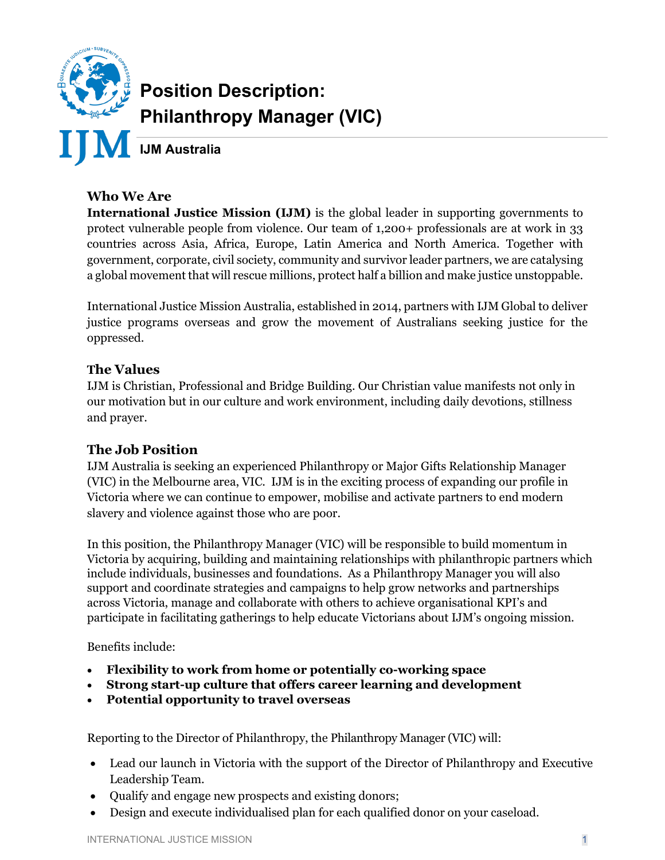

# **Position Description: Philanthropy Manager (VIC)**

### **Who We Are**

**International Justice Mission (IJM)** is the global leader in supporting governments to protect vulnerable people from violence. Our team of 1,200+ professionals are at work in 33 countries across Asia, Africa, Europe, Latin America and North America. Together with government, corporate, civil society, community and survivor leader partners, we are catalysing a global movement that will rescue millions, protect half a billion and make justice unstoppable.

International Justice Mission Australia, established in 2014, partners with IJM Global to deliver justice programs overseas and grow the movement of Australians seeking justice for the oppressed.

#### **The Values**

IJM is Christian, Professional and Bridge Building. Our Christian value manifests not only in our motivation but in our culture and work environment, including daily devotions, stillness and prayer.

#### **The Job Position**

IJM Australia is seeking an experienced Philanthropy or Major Gifts Relationship Manager (VIC) in the Melbourne area, VIC. IJM is in the exciting process of expanding our profile in Victoria where we can continue to empower, mobilise and activate partners to end modern slavery and violence against those who are poor.

In this position, the Philanthropy Manager (VIC) will be responsible to build momentum in Victoria by acquiring, building and maintaining relationships with philanthropic partners which include individuals, businesses and foundations. As a Philanthropy Manager you will also support and coordinate strategies and campaigns to help grow networks and partnerships across Victoria, manage and collaborate with others to achieve organisational KPI's and participate in facilitating gatherings to help educate Victorians about IJM's ongoing mission.

Benefits include:

- **Flexibility to work from home or potentially co-working space**
- **Strong start-up culture that offers career learning and development**
- **Potential opportunity to travel overseas**

Reporting to the Director of Philanthropy, the Philanthropy Manager (VIC) will:

- Lead our launch in Victoria with the support of the Director of Philanthropy and Executive Leadership Team.
- Qualify and engage new prospects and existing donors;
- Design and execute individualised plan for each qualified donor on your caseload.